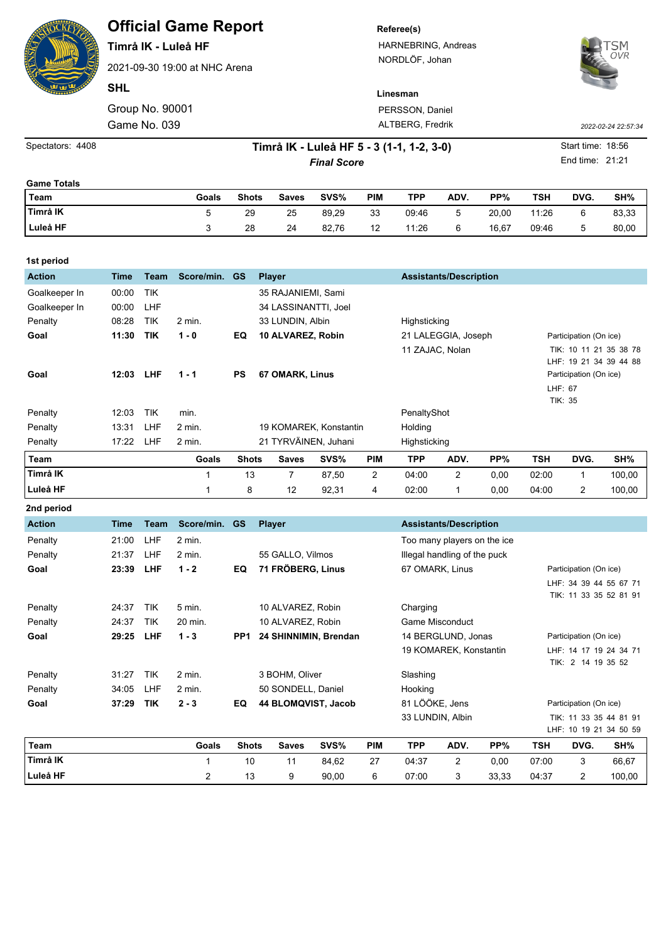|                    | <b>Official Game Report</b><br>Timrå IK - Luleå HF<br>2021-09-30 19:00 at NHC Arena<br><b>SHL</b>       |                 |               |                         |                    |                       |                   | Referee(s)<br>HARNEBRING, Andreas<br>NORDLÖF, Johan                                                                 |                               |       |                                                                            |      | OVR                 |  |  |  |
|--------------------|---------------------------------------------------------------------------------------------------------|-----------------|---------------|-------------------------|--------------------|-----------------------|-------------------|---------------------------------------------------------------------------------------------------------------------|-------------------------------|-------|----------------------------------------------------------------------------|------|---------------------|--|--|--|
|                    |                                                                                                         |                 |               |                         |                    |                       |                   | Linesman                                                                                                            |                               |       |                                                                            |      |                     |  |  |  |
|                    |                                                                                                         | Group No. 90001 |               | PERSSON, Daniel         |                    |                       |                   |                                                                                                                     |                               |       |                                                                            |      |                     |  |  |  |
|                    |                                                                                                         | Game No. 039    |               |                         | ALTBERG, Fredrik   |                       |                   |                                                                                                                     |                               |       |                                                                            |      | 2022-02-24 22:57:34 |  |  |  |
| Spectators: 4408   | Start time: 18:56<br>Timrå IK - Luleå HF 5 - 3 (1-1, 1-2, 3-0)<br>End time: 21:21<br><b>Final Score</b> |                 |               |                         |                    |                       |                   |                                                                                                                     |                               |       |                                                                            |      |                     |  |  |  |
|                    |                                                                                                         |                 |               |                         |                    |                       |                   |                                                                                                                     |                               |       |                                                                            |      |                     |  |  |  |
| <b>Game Totals</b> |                                                                                                         |                 |               |                         |                    |                       |                   |                                                                                                                     |                               |       |                                                                            |      |                     |  |  |  |
| Team               |                                                                                                         |                 | Goals         | <b>Shots</b>            | <b>Saves</b>       | SVS%                  | <b>PIM</b>        | <b>TPP</b>                                                                                                          | ADV.                          | PP%   | <b>TSH</b>                                                                 | DVG. | SH%                 |  |  |  |
| Timrå IK           |                                                                                                         |                 | 5             | 29                      | 25                 | 89,29                 | 33                | 09:46                                                                                                               | 5                             | 20,00 | 11:26                                                                      | 6    | 83,33               |  |  |  |
| Luleå HF           |                                                                                                         |                 | 3             | 28                      | 24                 | 82,76                 | $12 \overline{ }$ | 11:26                                                                                                               | 6                             | 16,67 | 09:46                                                                      | 5    | 80,00               |  |  |  |
| 1st period         |                                                                                                         |                 |               |                         |                    |                       |                   |                                                                                                                     |                               |       |                                                                            |      |                     |  |  |  |
| <b>Action</b>      | <b>Time</b>                                                                                             | <b>Team</b>     | Score/min. GS |                         | <b>Player</b>      |                       |                   | <b>Assistants/Description</b>                                                                                       |                               |       |                                                                            |      |                     |  |  |  |
| Goalkeeper In      | 00:00                                                                                                   | <b>TIK</b>      |               |                         | 35 RAJANIEMI, Sami |                       |                   |                                                                                                                     |                               |       |                                                                            |      |                     |  |  |  |
| Goalkeeper In      | 00:00                                                                                                   | LHF             |               | 34 LASSINANTTI, Joel    |                    |                       |                   |                                                                                                                     |                               |       |                                                                            |      |                     |  |  |  |
| Penalty            | 08:28                                                                                                   | <b>TIK</b>      | 2 min.        |                         | 33 LUNDIN, Albin   |                       |                   | Highsticking                                                                                                        |                               |       |                                                                            |      |                     |  |  |  |
| Goal               | 11:30                                                                                                   | <b>TIK</b>      | $1 - 0$       | EQ                      | 10 ALVAREZ, Robin  |                       |                   |                                                                                                                     | 21 LALEGGIA, Joseph           |       | Participation (On ice)                                                     |      |                     |  |  |  |
| Goal               | 12:03                                                                                                   | <b>LHF</b>      | $1 - 1$       | <b>PS</b>               | 67 OMARK, Linus    |                       |                   | 11 ZAJAC, Nolan<br>TIK: 10 11 21 35 38 78<br>LHF: 19 21 34 39 44 88<br>Participation (On ice)<br>LHF: 67<br>TIK: 35 |                               |       |                                                                            |      |                     |  |  |  |
| Penalty            | 12:03                                                                                                   | <b>TIK</b>      | min.          |                         |                    |                       |                   | PenaltyShot                                                                                                         |                               |       |                                                                            |      |                     |  |  |  |
| Penalty            | 13:31                                                                                                   | LHF             | $2$ min.      | 19 KOMAREK, Konstantin  |                    |                       |                   | Holding                                                                                                             |                               |       |                                                                            |      |                     |  |  |  |
| Penalty            | 17:22 LHF                                                                                               |                 | 2 min.        | 21 TYRVÄINEN, Juhani    |                    |                       |                   | Highsticking                                                                                                        |                               |       |                                                                            |      |                     |  |  |  |
| <b>Team</b>        |                                                                                                         |                 | Goals         | <b>Shots</b>            | <b>Saves</b>       | SVS%                  | <b>PIM</b>        | <b>TPP</b>                                                                                                          | ADV.                          | PP%   | <b>TSH</b>                                                                 | DVG. | SH%                 |  |  |  |
| Timrå IK           |                                                                                                         |                 | 1             | 13                      | 7                  | 87,50                 | 2                 | 04:00                                                                                                               | 2                             | 0,00  | 02:00                                                                      | 1    | 100,00              |  |  |  |
| Luleå HF           |                                                                                                         |                 | 1             | 8                       | 12                 | 92,31                 | 4                 | 02:00                                                                                                               | $\mathbf{1}$                  | 0,00  | 04:00                                                                      | 2    | 100,00              |  |  |  |
| 2nd period         |                                                                                                         |                 |               |                         |                    |                       |                   |                                                                                                                     |                               |       |                                                                            |      |                     |  |  |  |
| <b>Action</b>      | <b>Time</b>                                                                                             | Team            | Score/min. GS |                         | <b>Player</b>      |                       |                   |                                                                                                                     | <b>Assistants/Description</b> |       |                                                                            |      |                     |  |  |  |
| Penalty            | 21:00                                                                                                   | LHF             | 2 min.        |                         |                    |                       |                   |                                                                                                                     | Too many players on the ice   |       |                                                                            |      |                     |  |  |  |
| Penalty            | 21:37                                                                                                   | LHF             | 2 min.        | 55 GALLO, Vilmos        |                    |                       |                   | Illegal handling of the puck                                                                                        |                               |       |                                                                            |      |                     |  |  |  |
| Goal               | 23:39                                                                                                   | LHF             | $1 - 2$       | 71 FRÖBERG, Linus<br>EQ |                    |                       |                   | 67 OMARK, Linus                                                                                                     |                               |       | Participation (On ice)<br>LHF: 34 39 44 55 67 71<br>TIK: 11 33 35 52 81 91 |      |                     |  |  |  |
| Penalty            | 24:37                                                                                                   | TIK             | 5 min.        | 10 ALVAREZ, Robin       |                    |                       |                   | Charging                                                                                                            |                               |       |                                                                            |      |                     |  |  |  |
| Penalty            | 24:37                                                                                                   | TIK             | 20 min.       | 10 ALVAREZ, Robin       |                    |                       |                   |                                                                                                                     | <b>Game Misconduct</b>        |       |                                                                            |      |                     |  |  |  |
| Goal               | 29:25 LHF                                                                                               |                 | $1 - 3$       | PP1                     |                    | 24 SHINNIMIN, Brendan |                   | 14 BERGLUND, Jonas<br>19 KOMAREK, Konstantin                                                                        |                               |       | Participation (On ice)<br>LHF: 14 17 19 24 34 71<br>TIK: 2 14 19 35 52     |      |                     |  |  |  |
| Penalty            | 31:27 TIK                                                                                               |                 | 2 min.        |                         | 3 BOHM, Oliver     |                       |                   | Slashing                                                                                                            |                               |       |                                                                            |      |                     |  |  |  |

**Goal 37:29 TIK 2 - 3 EQ 44 BLOMQVIST, Jacob** 81 LÖÖKE, Jens Participation (On ice)

**Team Goals Shots Saves SVS% PIM TPP ADV. PP% TSH DVG. SH% Timrå IK** 1 10 11 84,62 27 04:37 2 0,00 07:00 3 66,67 **Luleå HF** 2 13 9 90,00 6 07:00 3 33,33 04:37 2 100,00

33 LUNDIN, Albin TIK: 11 33 35 44 81 91

LHF: 10 19 21 34 50 59

Penalty 34:05 LHF 2 min. 50 SONDELL, Daniel Hooking